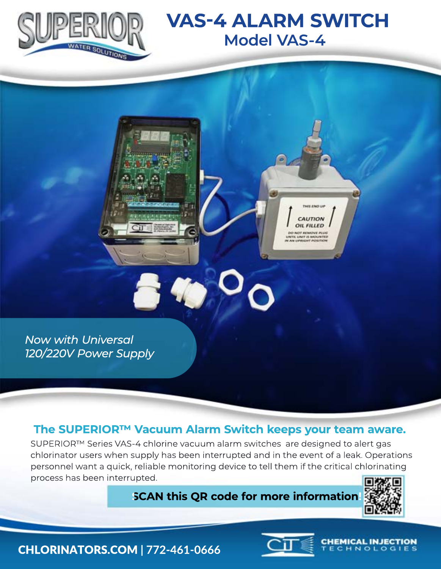

## **VAS-4 ALARM SWITCH Model VAS-4**

CAUTION **OIL FILLED** 

*Now with Universal 120/220V Power Supply*

#### **The SUPERIOR™ Vacuum Alarm Switch keeps your team aware.**

SUPERIOR™ Series VAS-4 chlorine vacuum alarm switches are designed to alert gas chlorinator users when supply has been interrupted and in the event of a leak. Operations personnel want a quick, reliable monitoring device to tell them if the critical chlorinating process has been interrupted.

### **SCAN this QR code for more information!**



**CHEMICAL INJECTION** NOLO

CHLORINATORS.COM **| 772-461-0666**